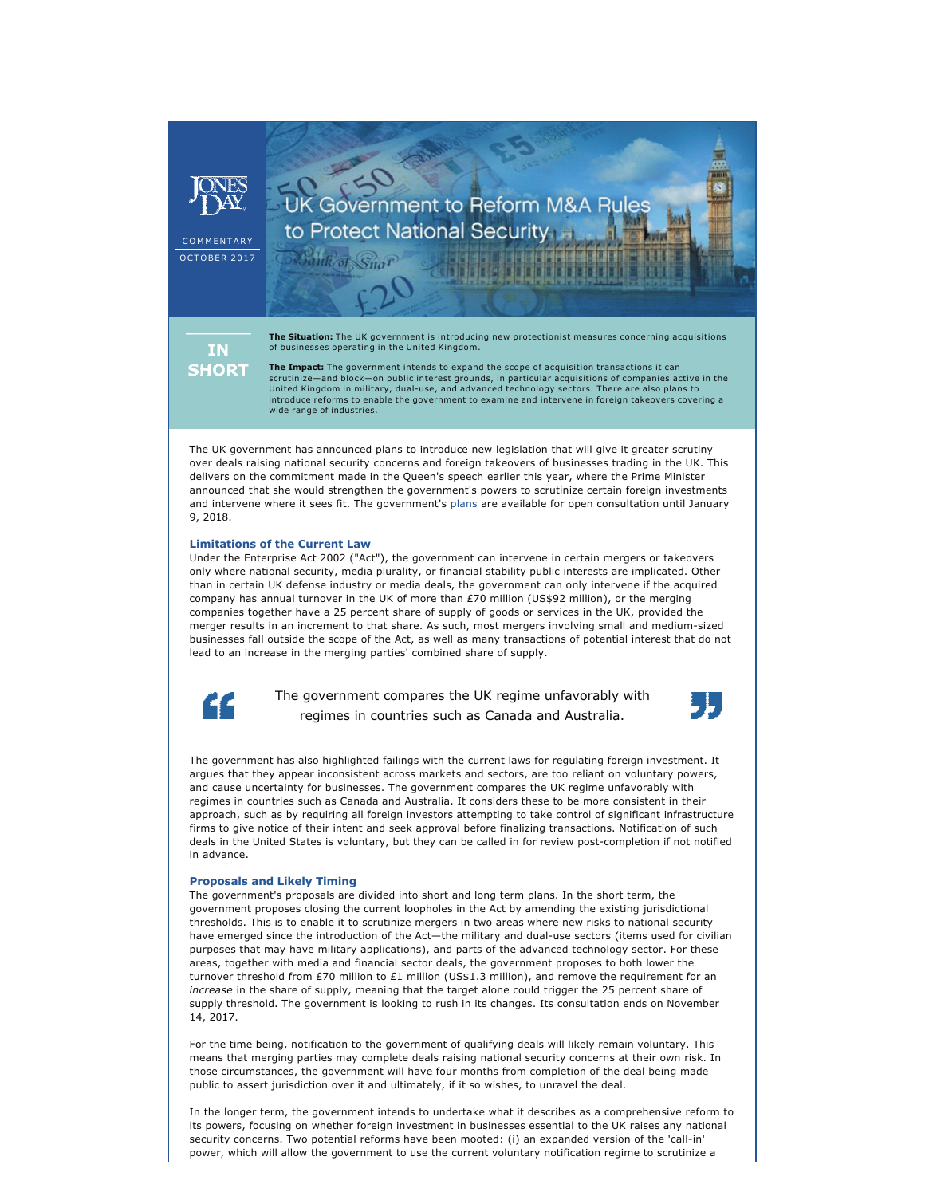COMMENTARY **OCTOBER 2017** 

> **IN SHORT**

**The Situation:** The UK government is introducing new protectionist measures concerning acquisitions of businesses operating in the United Kingdom.

K<br>Government to Reform M&A Rules

to Protect National Security

ank of Suor

**The Impact:** The government intends to expand the scope of acquisition transactions it can scrutinize—and block—on public interest grounds, in particular acquisitions of companies active in the United Kingdom in military, dual-use, and advanced technology sectors. There are also plans to introduce reforms to enable the government to examine and intervene in foreign takeovers covering a wide range of industries.

The UK government has announced plans to introduce new legislation that will give it greater scrutiny over deals raising national security concerns and foreign takeovers of businesses trading in the UK. This delivers on the commitment made in the Queen's speech earlier this year, where the Prime Minister announced that she would strengthen the government's powers to scrutinize certain foreign investments and intervene where it sees fit. The government's [plans](https://www.gov.uk/government/consultations/national-security-and-infrastructure-investment-review) are available for open consultation until January 9, 2018.

## **Limitations of the Current Law**

Under the Enterprise Act 2002 ("Act"), the government can intervene in certain mergers or takeovers only where national security, media plurality, or financial stability public interests are implicated. Other than in certain UK defense industry or media deals, the government can only intervene if the acquired company has annual turnover in the UK of more than £70 million (US\$92 million), or the merging companies together have a 25 percent share of supply of goods or services in the UK, provided the merger results in an increment to that share. As such, most mergers involving small and medium-sized businesses fall outside the scope of the Act, as well as many transactions of potential interest that do not lead to an increase in the merging parties' combined share of supply.



The government compares the UK regime unfavorably with regimes in countries such as Canada and Australia.



The government has also highlighted failings with the current laws for regulating foreign investment. It argues that they appear inconsistent across markets and sectors, are too reliant on voluntary powers, and cause uncertainty for businesses. The government compares the UK regime unfavorably with regimes in countries such as Canada and Australia. It considers these to be more consistent in their approach, such as by requiring all foreign investors attempting to take control of significant infrastructure firms to give notice of their intent and seek approval before finalizing transactions. Notification of such deals in the United States is voluntary, but they can be called in for review post-completion if not notified in advance.

## **Proposals and Likely Timing**

The government's proposals are divided into short and long term plans. In the short term, the government proposes closing the current loopholes in the Act by amending the existing jurisdictional thresholds. This is to enable it to scrutinize mergers in two areas where new risks to national security have emerged since the introduction of the Act—the military and dual-use sectors (items used for civilian purposes that may have military applications), and parts of the advanced technology sector. For these areas, together with media and financial sector deals, the government proposes to both lower the turnover threshold from £70 million to £1 million (US\$1.3 million), and remove the requirement for an *increase* in the share of supply, meaning that the target alone could trigger the 25 percent share of supply threshold. The government is looking to rush in its changes. Its consultation ends on November 14, 2017.

For the time being, notification to the government of qualifying deals will likely remain voluntary. This means that merging parties may complete deals raising national security concerns at their own risk. In those circumstances, the government will have four months from completion of the deal being made public to assert jurisdiction over it and ultimately, if it so wishes, to unravel the deal.

In the longer term, the government intends to undertake what it describes as a comprehensive reform to its powers, focusing on whether foreign investment in businesses essential to the UK raises any national security concerns. Two potential reforms have been mooted: (i) an expanded version of the 'call-in' power, which will allow the government to use the current voluntary notification regime to scrutinize a